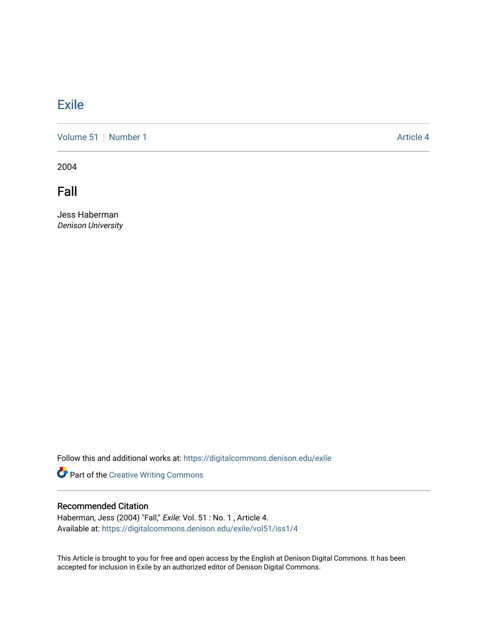## **[Exile](https://digitalcommons.denison.edu/exile)**

[Volume 51](https://digitalcommons.denison.edu/exile/vol51) [Number 1](https://digitalcommons.denison.edu/exile/vol51/iss1) Article 4

2004

Fall

Jess Haberman Denison University

Follow this and additional works at: [https://digitalcommons.denison.edu/exile](https://digitalcommons.denison.edu/exile?utm_source=digitalcommons.denison.edu%2Fexile%2Fvol51%2Fiss1%2F4&utm_medium=PDF&utm_campaign=PDFCoverPages) 

Part of the [Creative Writing Commons](http://network.bepress.com/hgg/discipline/574?utm_source=digitalcommons.denison.edu%2Fexile%2Fvol51%2Fiss1%2F4&utm_medium=PDF&utm_campaign=PDFCoverPages) 

## Recommended Citation

Haberman, Jess (2004) "Fall," Exile: Vol. 51 : No. 1 , Article 4. Available at: [https://digitalcommons.denison.edu/exile/vol51/iss1/4](https://digitalcommons.denison.edu/exile/vol51/iss1/4?utm_source=digitalcommons.denison.edu%2Fexile%2Fvol51%2Fiss1%2F4&utm_medium=PDF&utm_campaign=PDFCoverPages) 

This Article is brought to you for free and open access by the English at Denison Digital Commons. It has been accepted for inclusion in Exile by an authorized editor of Denison Digital Commons.